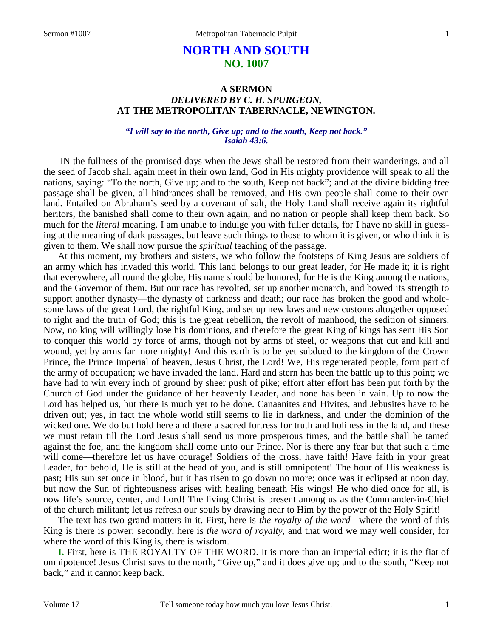# **NORTH AND SOUTH NO. 1007**

### **A SERMON**  *DELIVERED BY C. H. SPURGEON,*  **AT THE METROPOLITAN TABERNACLE, NEWINGTON.**

#### *"I will say to the north, Give up; and to the south, Keep not back." Isaiah 43:6.*

IN the fullness of the promised days when the Jews shall be restored from their wanderings, and all the seed of Jacob shall again meet in their own land, God in His mighty providence will speak to all the nations, saying: "To the north, Give up; and to the south, Keep not back"; and at the divine bidding free passage shall be given, all hindrances shall be removed, and His own people shall come to their own land. Entailed on Abraham's seed by a covenant of salt, the Holy Land shall receive again its rightful heritors, the banished shall come to their own again, and no nation or people shall keep them back. So much for the *literal* meaning. I am unable to indulge you with fuller details, for I have no skill in guessing at the meaning of dark passages, but leave such things to those to whom it is given, or who think it is given to them. We shall now pursue the *spiritual* teaching of the passage.

At this moment, my brothers and sisters, we who follow the footsteps of King Jesus are soldiers of an army which has invaded this world. This land belongs to our great leader, for He made it; it is right that everywhere, all round the globe, His name should be honored, for He is the King among the nations, and the Governor of them. But our race has revolted, set up another monarch, and bowed its strength to support another dynasty—the dynasty of darkness and death; our race has broken the good and wholesome laws of the great Lord, the rightful King, and set up new laws and new customs altogether opposed to right and the truth of God; this is the great rebellion, the revolt of manhood, the sedition of sinners. Now, no king will willingly lose his dominions, and therefore the great King of kings has sent His Son to conquer this world by force of arms, though not by arms of steel, or weapons that cut and kill and wound, yet by arms far more mighty! And this earth is to be yet subdued to the kingdom of the Crown Prince, the Prince Imperial of heaven, Jesus Christ, the Lord! We, His regenerated people, form part of the army of occupation; we have invaded the land. Hard and stern has been the battle up to this point; we have had to win every inch of ground by sheer push of pike; effort after effort has been put forth by the Church of God under the guidance of her heavenly Leader, and none has been in vain. Up to now the Lord has helped us, but there is much yet to be done. Canaanites and Hivites, and Jebusites have to be driven out; yes, in fact the whole world still seems to lie in darkness, and under the dominion of the wicked one. We do but hold here and there a sacred fortress for truth and holiness in the land, and these we must retain till the Lord Jesus shall send us more prosperous times, and the battle shall be tamed against the foe, and the kingdom shall come unto our Prince. Nor is there any fear but that such a time will come—therefore let us have courage! Soldiers of the cross, have faith! Have faith in your great Leader, for behold, He is still at the head of you, and is still omnipotent! The hour of His weakness is past; His sun set once in blood, but it has risen to go down no more; once was it eclipsed at noon day, but now the Sun of righteousness arises with healing beneath His wings! He who died once for all, is now life's source, center, and Lord! The living Christ is present among us as the Commander-in-Chief of the church militant; let us refresh our souls by drawing near to Him by the power of the Holy Spirit!

The text has two grand matters in it. First, here is *the royalty of the word—*where the word of this King is there is power; secondly, here is *the word of royalty,* and that word we may well consider, for where the word of this King is, there is wisdom.

**I.** First, here is THE ROYALTY OF THE WORD. It is more than an imperial edict; it is the fiat of omnipotence! Jesus Christ says to the north, "Give up," and it does give up; and to the south, "Keep not back," and it cannot keep back.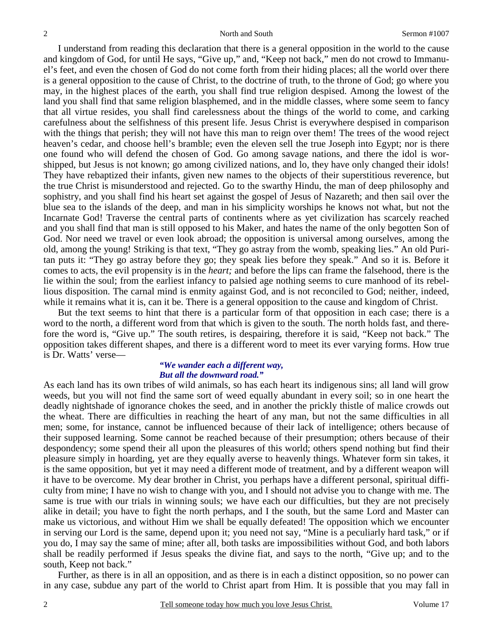I understand from reading this declaration that there is a general opposition in the world to the cause and kingdom of God, for until He says, "Give up," and, "Keep not back," men do not crowd to Immanuel's feet, and even the chosen of God do not come forth from their hiding places; all the world over there is a general opposition to the cause of Christ, to the doctrine of truth, to the throne of God; go where you may, in the highest places of the earth, you shall find true religion despised. Among the lowest of the land you shall find that same religion blasphemed, and in the middle classes, where some seem to fancy that all virtue resides, you shall find carelessness about the things of the world to come, and carking carefulness about the selfishness of this present life. Jesus Christ is everywhere despised in comparison with the things that perish; they will not have this man to reign over them! The trees of the wood reject heaven's cedar, and choose hell's bramble; even the eleven sell the true Joseph into Egypt; nor is there one found who will defend the chosen of God. Go among savage nations, and there the idol is worshipped, but Jesus is not known; go among civilized nations, and lo, they have only changed their idols! They have rebaptized their infants, given new names to the objects of their superstitious reverence, but the true Christ is misunderstood and rejected. Go to the swarthy Hindu, the man of deep philosophy and sophistry, and you shall find his heart set against the gospel of Jesus of Nazareth; and then sail over the blue sea to the islands of the deep, and man in his simplicity worships he knows not what, but not the Incarnate God! Traverse the central parts of continents where as yet civilization has scarcely reached and you shall find that man is still opposed to his Maker, and hates the name of the only begotten Son of God. Nor need we travel or even look abroad; the opposition is universal among ourselves, among the old, among the young! Striking is that text, "They go astray from the womb, speaking lies." An old Puritan puts it: "They go astray before they go; they speak lies before they speak." And so it is. Before it comes to acts, the evil propensity is in the *heart;* and before the lips can frame the falsehood, there is the lie within the soul; from the earliest infancy to palsied age nothing seems to cure manhood of its rebellious disposition. The carnal mind is enmity against God, and is not reconciled to God; neither, indeed, while it remains what it is, can it be. There is a general opposition to the cause and kingdom of Christ.

But the text seems to hint that there is a particular form of that opposition in each case; there is a word to the north, a different word from that which is given to the south. The north holds fast, and therefore the word is, "Give up." The south retires, is despairing, therefore it is said, "Keep not back." The opposition takes different shapes, and there is a different word to meet its ever varying forms. How true is Dr. Watts' verse—

#### *"We wander each a different way, But all the downward road."*

As each land has its own tribes of wild animals, so has each heart its indigenous sins; all land will grow weeds, but you will not find the same sort of weed equally abundant in every soil; so in one heart the deadly nightshade of ignorance chokes the seed, and in another the prickly thistle of malice crowds out the wheat. There are difficulties in reaching the heart of any man, but not the same difficulties in all men; some, for instance, cannot be influenced because of their lack of intelligence; others because of their supposed learning. Some cannot be reached because of their presumption; others because of their despondency; some spend their all upon the pleasures of this world; others spend nothing but find their pleasure simply in hoarding, yet are they equally averse to heavenly things. Whatever form sin takes, it is the same opposition, but yet it may need a different mode of treatment, and by a different weapon will it have to be overcome. My dear brother in Christ, you perhaps have a different personal, spiritual difficulty from mine; I have no wish to change with you, and I should not advise you to change with me. The same is true with our trials in winning souls; we have each our difficulties, but they are not precisely alike in detail; you have to fight the north perhaps, and I the south, but the same Lord and Master can make us victorious, and without Him we shall be equally defeated! The opposition which we encounter in serving our Lord is the same, depend upon it; you need not say, "Mine is a peculiarly hard task," or if you do, I may say the same of mine; after all, both tasks are impossibilities without God, and both labors shall be readily performed if Jesus speaks the divine fiat, and says to the north, "Give up; and to the south, Keep not back."

Further, as there is in all an opposition, and as there is in each a distinct opposition, so no power can in any case, subdue any part of the world to Christ apart from Him. It is possible that you may fall in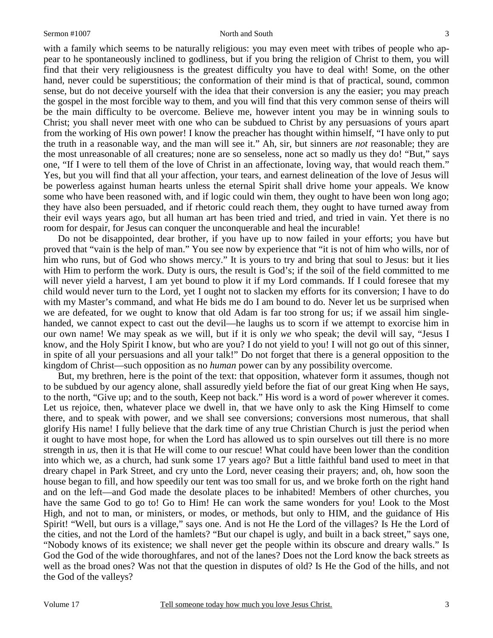#### Sermon #1007 North and South

3

with a family which seems to be naturally religious: you may even meet with tribes of people who appear to he spontaneously inclined to godliness, but if you bring the religion of Christ to them, you will find that their very religiousness is the greatest difficulty you have to deal with! Some, on the other hand, never could be superstitious; the conformation of their mind is that of practical, sound, common sense, but do not deceive yourself with the idea that their conversion is any the easier; you may preach the gospel in the most forcible way to them, and you will find that this very common sense of theirs will be the main difficulty to be overcome. Believe me, however intent you may be in winning souls to Christ; you shall never meet with one who can be subdued to Christ by any persuasions of yours apart from the working of His own power! I know the preacher has thought within himself, "I have only to put the truth in a reasonable way, and the man will see it." Ah, sir, but sinners are *not* reasonable; they are the most unreasonable of all creatures; none are so senseless, none act so madly us they do! "But," says one, "If I were to tell them of the love of Christ in an affectionate, loving way, that would reach them." Yes, but you will find that all your affection, your tears, and earnest delineation of the love of Jesus will be powerless against human hearts unless the eternal Spirit shall drive home your appeals. We know some who have been reasoned with, and if logic could win them, they ought to have been won long ago; they have also been persuaded, and if rhetoric could reach them, they ought to have turned away from their evil ways years ago, but all human art has been tried and tried, and tried in vain. Yet there is no room for despair, for Jesus can conquer the unconquerable and heal the incurable!

Do not be disappointed, dear brother, if you have up to now failed in your efforts; you have but proved that "vain is the help of man." You see now by experience that "it is not of him who wills, nor of him who runs, but of God who shows mercy." It is yours to try and bring that soul to Jesus: but it lies with Him to perform the work. Duty is ours, the result is God's; if the soil of the field committed to me will never yield a harvest, I am yet bound to plow it if my Lord commands. If I could foresee that my child would never turn to the Lord, yet I ought not to slacken my efforts for its conversion; I have to do with my Master's command, and what He bids me do I am bound to do. Never let us be surprised when we are defeated, for we ought to know that old Adam is far too strong for us; if we assail him singlehanded, we cannot expect to cast out the devil—he laughs us to scorn if we attempt to exorcise him in our own name! We may speak as we will, but if it is only *we* who speak; the devil will say, "Jesus I know, and the Holy Spirit I know, but who are you? I do not yield to you! I will not go out of this sinner, in spite of all your persuasions and all your talk!" Do not forget that there is a general opposition to the kingdom of Christ—such opposition as no *human* power can by any possibility overcome.

But, my brethren, here is the point of the text: that opposition, whatever form it assumes, though not to be subdued by our agency alone, shall assuredly yield before the fiat of our great King when He says, to the north, "Give up; and to the south, Keep not back." His word is a word of power wherever it comes. Let us rejoice, then, whatever place we dwell in, that we have only to ask the King Himself to come there, and to speak with power, and we shall see conversions; conversions most numerous, that shall glorify His name! I fully believe that the dark time of any true Christian Church is just the period when it ought to have most hope, for when the Lord has allowed us to spin ourselves out till there is no more strength in *us,* then it is that He will come to our rescue! What could have been lower than the condition into which we, as a church, had sunk some 17 years ago? But a little faithful band used to meet in that dreary chapel in Park Street, and cry unto the Lord, never ceasing their prayers; and, oh, how soon the house began to fill, and how speedily our tent was too small for us, and we broke forth on the right hand and on the left—and God made the desolate places to be inhabited! Members of other churches, you have the same God to go to! Go to Him! He can work the same wonders for you! Look to the Most High, and not to man, or ministers, or modes, or methods, but only to HIM, and the guidance of His Spirit! "Well, but ours is a village," says one. And is not He the Lord of the villages? Is He the Lord of the cities, and not the Lord of the hamlets? "But our chapel is ugly, and built in a back street," says one, "Nobody knows of its existence; we shall never get the people within its obscure and dreary walls." Is God the God of the wide thoroughfares, and not of the lanes? Does not the Lord know the back streets as well as the broad ones? Was not that the question in disputes of old? Is He the God of the hills, and not the God of the valleys?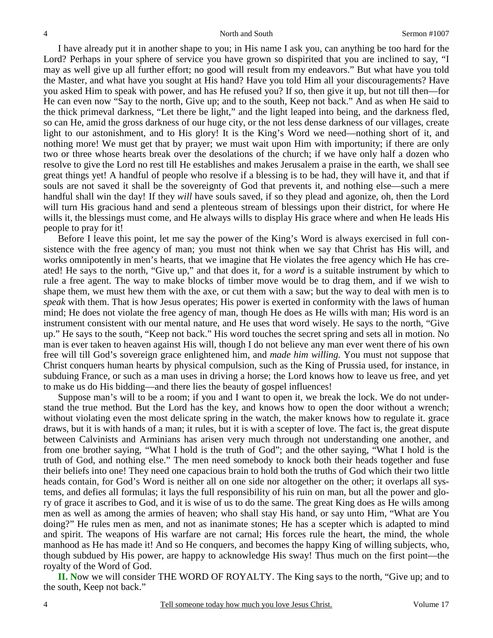I have already put it in another shape to you; in His name I ask you, can anything be too hard for the Lord? Perhaps in your sphere of service you have grown so dispirited that you are inclined to say, "I may as well give up all further effort; no good will result from my endeavors." But what have you told the Master, and what have you sought at His hand? Have you told Him all your discouragements? Have you asked Him to speak with power, and has He refused you? If so, then give it up, but not till then—for He can even now "Say to the north, Give up; and to the south, Keep not back." And as when He said to the thick primeval darkness, "Let there be light," and the light leaped into being, and the darkness fled, so can He, amid the gross darkness of our huge city, or the not less dense darkness of our villages, create light to our astonishment, and to His glory! It is the King's Word we need—nothing short of it, and nothing more! We must get that by prayer; we must wait upon Him with importunity; if there are only two or three whose hearts break over the desolations of the church; if we have only half a dozen who resolve to give the Lord no rest till He establishes and makes Jerusalem a praise in the earth, we shall see great things yet! A handful of people who resolve if a blessing is to be had, they will have it, and that if souls are not saved it shall be the sovereignty of God that prevents it, and nothing else—such a mere handful shall win the day! If they *will* have souls saved, if so they plead and agonize, oh, then the Lord will turn His gracious hand and send a plenteous stream of blessings upon their district, for where He wills it, the blessings must come, and He always wills to display His grace where and when He leads His people to pray for it!

Before I leave this point, let me say the power of the King's Word is always exercised in full consistence with the free agency of man; you must not think when we say that Christ has His will, and works omnipotently in men's hearts, that we imagine that He violates the free agency which He has created! He says to the north, "Give up," and that does it, for a *word* is a suitable instrument by which to rule a free agent. The way to make blocks of timber move would be to drag them, and if we wish to shape them, we must hew them with the axe, or cut them with a saw; but the way to deal with men is to *speak* with them. That is how Jesus operates; His power is exerted in conformity with the laws of human mind; He does not violate the free agency of man, though He does as He wills with man; His word is an instrument consistent with our mental nature, and He uses that word wisely. He says to the north, "Give up." He says to the south, "Keep not back." His word touches the secret spring and sets all in motion. No man is ever taken to heaven against His will, though I do not believe any man ever went there of his own free will till God's sovereign grace enlightened him, and *made him willing.* You must not suppose that Christ conquers human hearts by physical compulsion, such as the King of Prussia used, for instance, in subduing France, or such as a man uses in driving a horse; the Lord knows how to leave us free, and yet to make us do His bidding—and there lies the beauty of gospel influences!

Suppose man's will to be a room; if you and I want to open it, we break the lock. We do not understand the true method. But the Lord has the key, and knows how to open the door without a wrench; without violating even the most delicate spring in the watch, the maker knows how to regulate it. grace draws, but it is with hands of a man; it rules, but it is with a scepter of love. The fact is, the great dispute between Calvinists and Arminians has arisen very much through not understanding one another, and from one brother saying, "What I hold is the truth of God"; and the other saying, "What I hold is the truth of God, and nothing else." The men need somebody to knock both their heads together and fuse their beliefs into one! They need one capacious brain to hold both the truths of God which their two little heads contain, for God's Word is neither all on one side nor altogether on the other; it overlaps all systems, and defies all formulas; it lays the full responsibility of his ruin on man, but all the power and glory of grace it ascribes to God, and it is wise of us to do the same. The great King does as He wills among men as well as among the armies of heaven; who shall stay His hand, or say unto Him, "What are You doing?" He rules men as men, and not as inanimate stones; He has a scepter which is adapted to mind and spirit. The weapons of His warfare are not carnal; His forces rule the heart, the mind, the whole manhood as He has made it! And so He conquers, and becomes the happy King of willing subjects, who, though subdued by His power, are happy to acknowledge His sway! Thus much on the first point—the royalty of the Word of God.

**II. N**ow we will consider THE WORD OF ROYALTY. The King says to the north, "Give up; and to the south, Keep not back."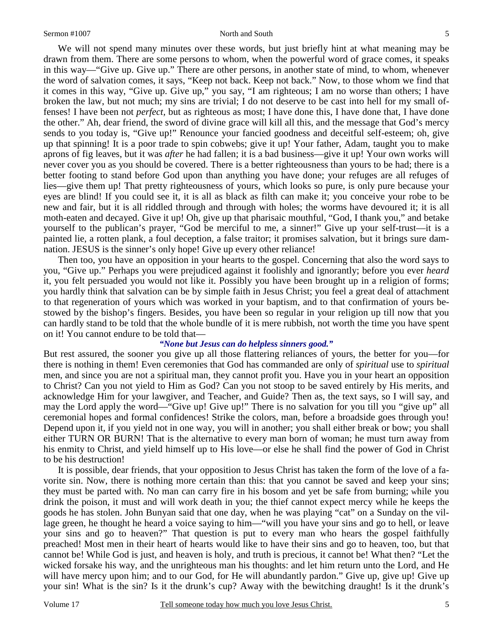#### Sermon #1007 North and South

We will not spend many minutes over these words, but just briefly hint at what meaning may be drawn from them. There are some persons to whom, when the powerful word of grace comes, it speaks in this way—"Give up. Give up." There are other persons, in another state of mind, to whom, whenever the word of salvation comes, it says, "Keep not back. Keep not back." Now, to those whom we find that it comes in this way, "Give up. Give up," you say, "I am righteous; I am no worse than others; I have broken the law, but not much; my sins are trivial; I do not deserve to be cast into hell for my small offenses! I have been not *perfect,* but as righteous as most; I have done this, I have done that, I have done the other." Ah, dear friend, the sword of divine grace will kill all this, and the message that God's mercy sends to you today is, "Give up!" Renounce your fancied goodness and deceitful self-esteem; oh, give up that spinning! It is a poor trade to spin cobwebs; give it up! Your father, Adam, taught you to make aprons of fig leaves, but it was *after* he had fallen; it is a bad business—give it up! Your own works will never cover you as you should be covered. There is a better righteousness than yours to be had; there is a better footing to stand before God upon than anything you have done; your refuges are all refuges of lies—give them up! That pretty righteousness of yours, which looks so pure, is only pure because your eyes are blind! If you could see it, it is all as black as filth can make it; you conceive your robe to be new and fair, but it is all riddled through and through with holes; the worms have devoured it; it is all moth-eaten and decayed. Give it up! Oh, give up that pharisaic mouthful, "God, I thank you," and betake yourself to the publican's prayer, "God be merciful to me, a sinner!" Give up your self-trust—it is a painted lie, a rotten plank, a foul deception, a false traitor; it promises salvation, but it brings sure damnation. JESUS is the sinner's only hope! Give up every other reliance!

Then too, you have an opposition in your hearts to the gospel. Concerning that also the word says to you, "Give up." Perhaps you were prejudiced against it foolishly and ignorantly; before you ever *heard* it, you felt persuaded you would not like it. Possibly you have been brought up in a religion of forms; you hardly think that salvation can be by simple faith in Jesus Christ; you feel a great deal of attachment to that regeneration of yours which was worked in your baptism, and to that confirmation of yours bestowed by the bishop's fingers. Besides, you have been so regular in your religion up till now that you can hardly stand to be told that the whole bundle of it is mere rubbish, not worth the time you have spent on it! You cannot endure to be told that—

#### *"None but Jesus can do helpless sinners good."*

But rest assured, the sooner you give up all those flattering reliances of yours, the better for you—for there is nothing in them! Even ceremonies that God has commanded are only of *spiritual* use to *spiritual* men, and since you are not a spiritual man, they cannot profit you. Have you in your heart an opposition to Christ? Can you not yield to Him as God? Can you not stoop to be saved entirely by His merits, and acknowledge Him for your lawgiver, and Teacher, and Guide? Then as, the text says, so I will say, and may the Lord apply the word—"Give up! Give up!" There is no salvation for you till you "give up" all ceremonial hopes and formal confidences! Strike the colors, man, before a broadside goes through you! Depend upon it, if you yield not in one way, you will in another; you shall either break or bow; you shall either TURN OR BURN! That is the alternative to every man born of woman; he must turn away from his enmity to Christ, and yield himself up to His love—or else he shall find the power of God in Christ to be his destruction!

It is possible, dear friends, that your opposition to Jesus Christ has taken the form of the love of a favorite sin. Now, there is nothing more certain than this: that you cannot be saved and keep your sins; they must be parted with. No man can carry fire in his bosom and yet be safe from burning; while you drink the poison, it must and will work death in you; the thief cannot expect mercy while he keeps the goods he has stolen. John Bunyan said that one day, when he was playing "cat" on a Sunday on the village green, he thought he heard a voice saying to him—"will you have your sins and go to hell, or leave your sins and go to heaven?" That question is put to every man who hears the gospel faithfully preached! Most men in their heart of hearts would like to have their sins and go to heaven, too, but that cannot be! While God is just, and heaven is holy, and truth is precious, it cannot be! What then? "Let the wicked forsake his way, and the unrighteous man his thoughts: and let him return unto the Lord, and He will have mercy upon him; and to our God, for He will abundantly pardon." Give up, give up! Give up your sin! What is the sin? Is it the drunk's cup? Away with the bewitching draught! Is it the drunk's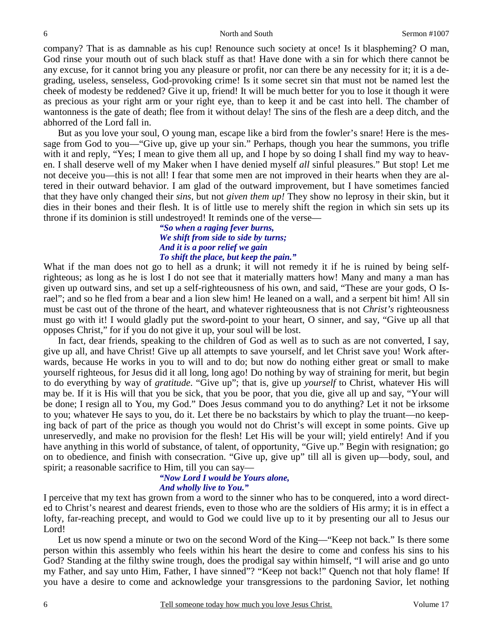company? That is as damnable as his cup! Renounce such society at once! Is it blaspheming? O man, God rinse your mouth out of such black stuff as that! Have done with a sin for which there cannot be any excuse, for it cannot bring you any pleasure or profit, nor can there be any necessity for it; it is a degrading, useless, senseless, God-provoking crime! Is it some secret sin that must not be named lest the cheek of modesty be reddened? Give it up, friend! It will be much better for you to lose it though it were as precious as your right arm or your right eye, than to keep it and be cast into hell. The chamber of wantonness is the gate of death; flee from it without delay! The sins of the flesh are a deep ditch, and the abhorred of the Lord fall in.

But as you love your soul, O young man, escape like a bird from the fowler's snare! Here is the message from God to you—"Give up, give up your sin." Perhaps, though you hear the summons, you trifle with it and reply, "Yes; I mean to give them all up, and I hope by so doing I shall find my way to heaven. I shall deserve well of my Maker when I have denied myself *all* sinful pleasures." But stop! Let me not deceive you—this is not all! I fear that some men are not improved in their hearts when they are altered in their outward behavior. I am glad of the outward improvement, but I have sometimes fancied that they have only changed their *sins,* but not *given them up!* They show no leprosy in their skin, but it dies in their bones and their flesh. It is of little use to merely shift the region in which sin sets up its throne if its dominion is still undestroyed! It reminds one of the verse—

> *"So when a raging fever burns, We shift from side to side by turns; And it is a poor relief we gain To shift the place, but keep the pain."*

What if the man does not go to hell as a drunk; it will not remedy it if he is ruined by being selfrighteous; as long as he is lost I do not see that it materially matters how! Many and many a man has given up outward sins, and set up a self-righteousness of his own, and said, "These are your gods, O Israel"; and so he fled from a bear and a lion slew him! He leaned on a wall, and a serpent bit him! All sin must be cast out of the throne of the heart, and whatever righteousness that is not *Christ's* righteousness must go with it! I would gladly put the sword-point to your heart, O sinner, and say, "Give up all that opposes Christ," for if you do not give it up, your soul will be lost.

In fact, dear friends, speaking to the children of God as well as to such as are not converted, I say, give up all, and have Christ! Give up all attempts to save yourself, and let Christ save you! Work afterwards, because He works in you to will and to do; but now do nothing either great or small to make yourself righteous, for Jesus did it all long, long ago! Do nothing by way of straining for merit, but begin to do everything by way of *gratitude*. "Give up"; that is, give up *yourself* to Christ, whatever His will may be. If it is His will that you be sick, that you be poor, that you die, give all up and say, "Your will be done; I resign all to You, my God." Does Jesus command you to do anything? Let it not be irksome to you; whatever He says to you, do it. Let there be no backstairs by which to play the truant—no keeping back of part of the price as though you would not do Christ's will except in some points. Give up unreservedly, and make no provision for the flesh! Let His will be your will; yield entirely! And if you have anything in this world of substance, of talent, of opportunity, "Give up." Begin with resignation; go on to obedience, and finish with consecration. "Give up, give up" till all is given up—body, soul, and spirit; a reasonable sacrifice to Him, till you can say—

#### *"Now Lord I would be Yours alone, And wholly live to You."*

I perceive that my text has grown from a word to the sinner who has to be conquered, into a word directed to Christ's nearest and dearest friends, even to those who are the soldiers of His army; it is in effect a lofty, far-reaching precept, and would to God we could live up to it by presenting our all to Jesus our Lord!

Let us now spend a minute or two on the second Word of the King—"Keep not back." Is there some person within this assembly who feels within his heart the desire to come and confess his sins to his God? Standing at the filthy swine trough, does the prodigal say within himself, "I will arise and go unto my Father, and say unto Him, Father, I have sinned"? "Keep not back!" Quench not that holy flame! If you have a desire to come and acknowledge your transgressions to the pardoning Savior, let nothing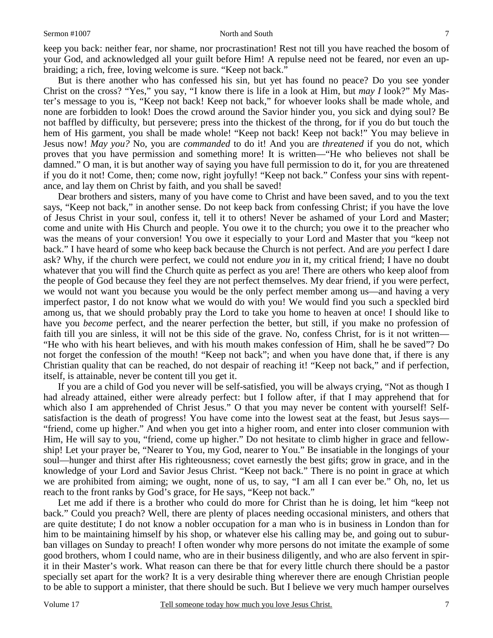#### Sermon #1007 North and South

keep you back: neither fear, nor shame, nor procrastination! Rest not till you have reached the bosom of your God, and acknowledged all your guilt before Him! A repulse need not be feared, nor even an upbraiding; a rich, free, loving welcome is sure. "Keep not back."

But is there another who has confessed his sin, but yet has found no peace? Do you see yonder Christ on the cross? "Yes," you say, "I know there is life in a look at Him, but *may I* look?" My Master's message to you is, "Keep not back! Keep not back," for whoever looks shall be made whole, and none are forbidden to look! Does the crowd around the Savior hinder you, you sick and dying soul? Be not baffled by difficulty, but persevere; press into the thickest of the throng, for if you do but touch the hem of His garment, you shall be made whole! "Keep not back! Keep not back!" You may believe in Jesus now! *May you?* No, you are *commanded* to do it! And you are *threatened* if you do not, which proves that you have permission and something more! It is written—"He who believes not shall be damned." O man, it is but another way of saying you have full permission to do it, for you are threatened if you do it not! Come, then; come now, right joyfully! "Keep not back." Confess your sins with repentance, and lay them on Christ by faith, and you shall be saved!

Dear brothers and sisters, many of you have come to Christ and have been saved, and to you the text says, "Keep not back," in another sense. Do not keep back from confessing Christ; if you have the love of Jesus Christ in your soul, confess it, tell it to others! Never be ashamed of your Lord and Master; come and unite with His Church and people. You owe it to the church; you owe it to the preacher who was the means of your conversion! You owe it especially to your Lord and Master that you "keep not back." I have heard of some who keep back because the Church is not perfect. And are *you* perfect I dare ask? Why, if the church were perfect, we could not endure *you* in it, my critical friend; I have no doubt whatever that you will find the Church quite as perfect as you are! There are others who keep aloof from the people of God because they feel they are not perfect themselves. My dear friend, if you were perfect, we would not want you because you would be the only perfect member among us—and having a very imperfect pastor, I do not know what we would do with you! We would find you such a speckled bird among us, that we should probably pray the Lord to take you home to heaven at once! I should like to have you *become* perfect, and the nearer perfection the better, but still, if you make no profession of faith till you are sinless, it will not be this side of the grave. No, confess Christ, for is it not written— "He who with his heart believes, and with his mouth makes confession of Him, shall he be saved"? Do not forget the confession of the mouth! "Keep not back"; and when you have done that, if there is any Christian quality that can be reached, do not despair of reaching it! "Keep not back," and if perfection, itself, is attainable, never be content till you get it.

If you are a child of God you never will be self-satisfied, you will be always crying, "Not as though I had already attained, either were already perfect: but I follow after, if that I may apprehend that for which also I am apprehended of Christ Jesus." O that you may never be content with yourself! Selfsatisfaction is the death of progress! You have come into the lowest seat at the feast, but Jesus says— "friend, come up higher." And when you get into a higher room, and enter into closer communion with Him, He will say to you, "friend, come up higher." Do not hesitate to climb higher in grace and fellowship! Let your prayer be, "Nearer to You, my God, nearer to You." Be insatiable in the longings of your soul—hunger and thirst after His righteousness; covet earnestly the best gifts; grow in grace, and in the knowledge of your Lord and Savior Jesus Christ. "Keep not back." There is no point in grace at which we are prohibited from aiming; we ought, none of us, to say, "I am all I can ever be." Oh, no, let us reach to the front ranks by God's grace, for He says, "Keep not back."

Let me add if there is a brother who could do more for Christ than he is doing, let him "keep not back." Could you preach? Well, there are plenty of places needing occasional ministers, and others that are quite destitute; I do not know a nobler occupation for a man who is in business in London than for him to be maintaining himself by his shop, or whatever else his calling may be, and going out to suburban villages on Sunday to preach! I often wonder why more persons do not imitate the example of some good brothers, whom I could name, who are in their business diligently, and who are also fervent in spirit in their Master's work. What reason can there be that for every little church there should be a pastor specially set apart for the work? It is a very desirable thing wherever there are enough Christian people to be able to support a minister, that there should be such. But I believe we very much hamper ourselves